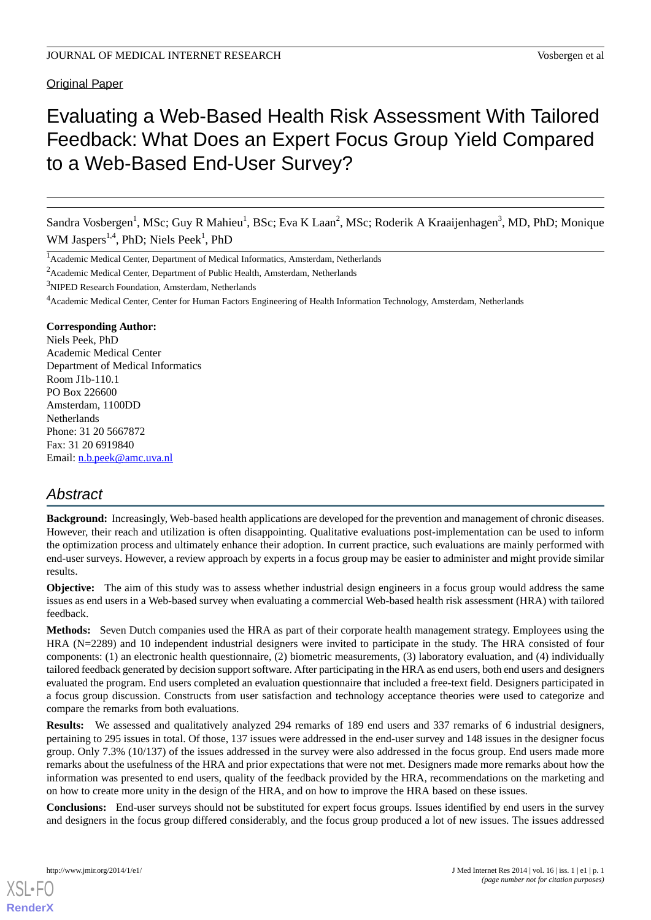Original Paper

# Evaluating a Web-Based Health Risk Assessment With Tailored Feedback: What Does an Expert Focus Group Yield Compared to a Web-Based End-User Survey?

Sandra Vosbergen<sup>1</sup>, MSc; Guy R Mahieu<sup>1</sup>, BSc; Eva K Laan<sup>2</sup>, MSc; Roderik A Kraaijenhagen<sup>3</sup>, MD, PhD; Monique WM Jaspers<sup>1,4</sup>, PhD; Niels Peek<sup>1</sup>, PhD

<sup>2</sup>Academic Medical Center, Department of Public Health, Amsterdam, Netherlands

<sup>3</sup>NIPED Research Foundation, Amsterdam, Netherlands

#### **Corresponding Author:**

Niels Peek, PhD Academic Medical Center Department of Medical Informatics Room J1b-110.1 PO Box 226600 Amsterdam, 1100DD **Netherlands** Phone: 31 20 5667872 Fax: 31 20 6919840 Email: [n.b.peek@amc.uva.nl](mailto:n.b.peek@amc.uva.nl)

## *Abstract*

**Background:** Increasingly, Web-based health applications are developed for the prevention and management of chronic diseases. However, their reach and utilization is often disappointing. Qualitative evaluations post-implementation can be used to inform the optimization process and ultimately enhance their adoption. In current practice, such evaluations are mainly performed with end-user surveys. However, a review approach by experts in a focus group may be easier to administer and might provide similar results.

**Objective:** The aim of this study was to assess whether industrial design engineers in a focus group would address the same issues as end users in a Web-based survey when evaluating a commercial Web-based health risk assessment (HRA) with tailored feedback.

**Methods:** Seven Dutch companies used the HRA as part of their corporate health management strategy. Employees using the HRA (N=2289) and 10 independent industrial designers were invited to participate in the study. The HRA consisted of four components: (1) an electronic health questionnaire, (2) biometric measurements, (3) laboratory evaluation, and (4) individually tailored feedback generated by decision support software. After participating in the HRA as end users, both end users and designers evaluated the program. End users completed an evaluation questionnaire that included a free-text field. Designers participated in a focus group discussion. Constructs from user satisfaction and technology acceptance theories were used to categorize and compare the remarks from both evaluations.

**Results:** We assessed and qualitatively analyzed 294 remarks of 189 end users and 337 remarks of 6 industrial designers, pertaining to 295 issues in total. Of those, 137 issues were addressed in the end-user survey and 148 issues in the designer focus group. Only 7.3% (10/137) of the issues addressed in the survey were also addressed in the focus group. End users made more remarks about the usefulness of the HRA and prior expectations that were not met. Designers made more remarks about how the information was presented to end users, quality of the feedback provided by the HRA, recommendations on the marketing and on how to create more unity in the design of the HRA, and on how to improve the HRA based on these issues.

**Conclusions:** End-user surveys should not be substituted for expert focus groups. Issues identified by end users in the survey and designers in the focus group differed considerably, and the focus group produced a lot of new issues. The issues addressed

[XSL](http://www.w3.org/Style/XSL)•FO **[RenderX](http://www.renderx.com/)**

<sup>&</sup>lt;sup>1</sup> Academic Medical Center, Department of Medical Informatics, Amsterdam, Netherlands

<sup>4</sup>Academic Medical Center, Center for Human Factors Engineering of Health Information Technology, Amsterdam, Netherlands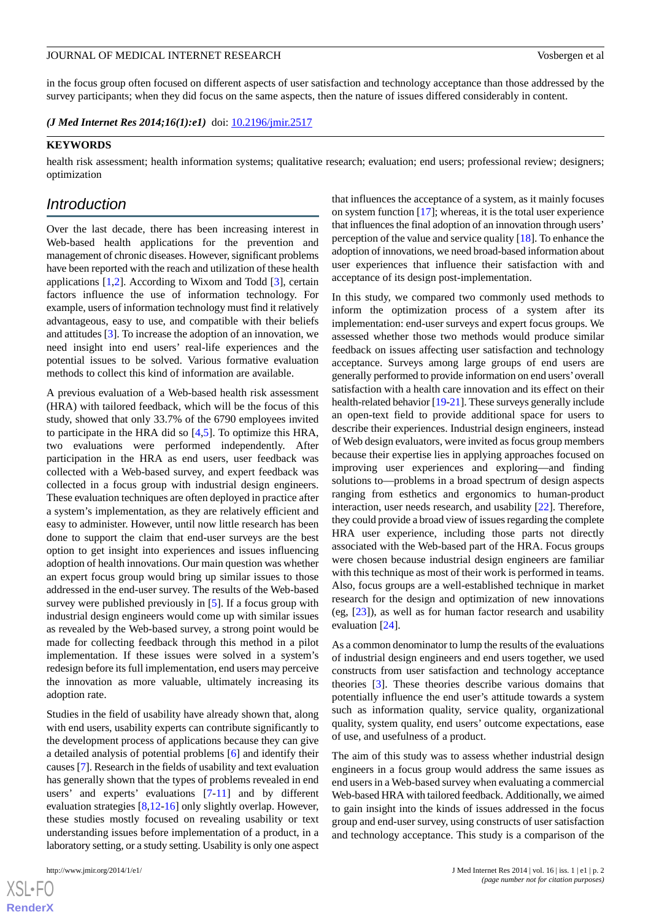in the focus group often focused on different aspects of user satisfaction and technology acceptance than those addressed by the survey participants; when they did focus on the same aspects, then the nature of issues differed considerably in content.

*(J Med Internet Res 2014;16(1):e1)* doi:  $10.2196/jmir.2517$ 

#### **KEYWORDS**

health risk assessment; health information systems; qualitative research; evaluation; end users; professional review; designers; optimization

## *Introduction*

Over the last decade, there has been increasing interest in Web-based health applications for the prevention and management of chronic diseases. However, significant problems have been reported with the reach and utilization of these health applications [\[1](#page-12-0),[2\]](#page-12-1). According to Wixom and Todd [[3\]](#page-12-2), certain factors influence the use of information technology. For example, users of information technology must find it relatively advantageous, easy to use, and compatible with their beliefs and attitudes [[3\]](#page-12-2). To increase the adoption of an innovation, we need insight into end users' real-life experiences and the potential issues to be solved. Various formative evaluation methods to collect this kind of information are available.

A previous evaluation of a Web-based health risk assessment (HRA) with tailored feedback, which will be the focus of this study, showed that only 33.7% of the 6790 employees invited to participate in the HRA did so [\[4,](#page-12-3)[5](#page-12-4)]. To optimize this HRA, two evaluations were performed independently. After participation in the HRA as end users, user feedback was collected with a Web-based survey, and expert feedback was collected in a focus group with industrial design engineers. These evaluation techniques are often deployed in practice after a system's implementation, as they are relatively efficient and easy to administer. However, until now little research has been done to support the claim that end-user surveys are the best option to get insight into experiences and issues influencing adoption of health innovations. Our main question was whether an expert focus group would bring up similar issues to those addressed in the end-user survey. The results of the Web-based survey were published previously in [[5\]](#page-12-4). If a focus group with industrial design engineers would come up with similar issues as revealed by the Web-based survey, a strong point would be made for collecting feedback through this method in a pilot implementation. If these issues were solved in a system's redesign before its full implementation, end users may perceive the innovation as more valuable, ultimately increasing its adoption rate.

Studies in the field of usability have already shown that, along with end users, usability experts can contribute significantly to the development process of applications because they can give a detailed analysis of potential problems [\[6](#page-12-5)] and identify their causes [[7](#page-12-6)]. Research in the fields of usability and text evaluation has generally shown that the types of problems revealed in end users' and experts' evaluations [\[7](#page-12-6)-[11\]](#page-12-7) and by different evaluation strategies [[8,](#page-12-8)[12](#page-12-9)[-16](#page-13-0)] only slightly overlap. However, these studies mostly focused on revealing usability or text understanding issues before implementation of a product, in a laboratory setting, or a study setting. Usability is only one aspect

that influences the acceptance of a system, as it mainly focuses on system function [\[17](#page-13-1)]; whereas, it is the total user experience that influences the final adoption of an innovation through users' perception of the value and service quality [[18\]](#page-13-2). To enhance the adoption of innovations, we need broad-based information about user experiences that influence their satisfaction with and acceptance of its design post-implementation.

In this study, we compared two commonly used methods to inform the optimization process of a system after its implementation: end-user surveys and expert focus groups. We assessed whether those two methods would produce similar feedback on issues affecting user satisfaction and technology acceptance. Surveys among large groups of end users are generally performed to provide information on end users'overall satisfaction with a health care innovation and its effect on their health-related behavior [\[19](#page-13-3)[-21](#page-13-4)]. These surveys generally include an open-text field to provide additional space for users to describe their experiences. Industrial design engineers, instead of Web design evaluators, were invited as focus group members because their expertise lies in applying approaches focused on improving user experiences and exploring—and finding solutions to—problems in a broad spectrum of design aspects ranging from esthetics and ergonomics to human-product interaction, user needs research, and usability [\[22](#page-13-5)]. Therefore, they could provide a broad view of issues regarding the complete HRA user experience, including those parts not directly associated with the Web-based part of the HRA. Focus groups were chosen because industrial design engineers are familiar with this technique as most of their work is performed in teams. Also, focus groups are a well-established technique in market research for the design and optimization of new innovations (eg, [\[23](#page-13-6)]), as well as for human factor research and usability evaluation [[24\]](#page-13-7).

As a common denominator to lump the results of the evaluations of industrial design engineers and end users together, we used constructs from user satisfaction and technology acceptance theories [[3\]](#page-12-2). These theories describe various domains that potentially influence the end user's attitude towards a system such as information quality, service quality, organizational quality, system quality, end users' outcome expectations, ease of use, and usefulness of a product.

The aim of this study was to assess whether industrial design engineers in a focus group would address the same issues as end users in a Web-based survey when evaluating a commercial Web-based HRA with tailored feedback. Additionally, we aimed to gain insight into the kinds of issues addressed in the focus group and end-user survey, using constructs of user satisfaction and technology acceptance. This study is a comparison of the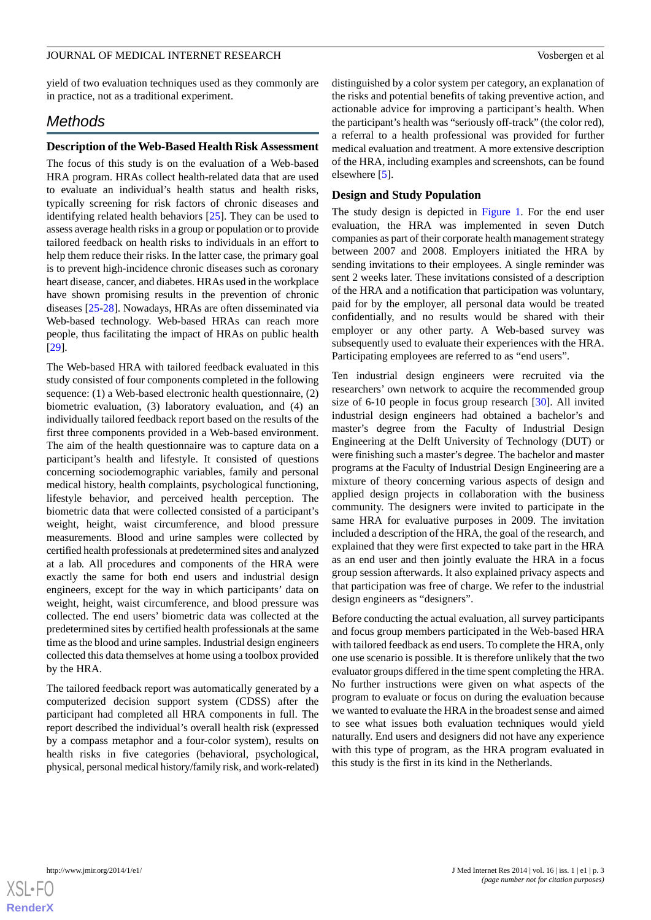yield of two evaluation techniques used as they commonly are in practice, not as a traditional experiment.

## *Methods*

#### **Description of the Web-Based Health Risk Assessment**

The focus of this study is on the evaluation of a Web-based HRA program. HRAs collect health-related data that are used to evaluate an individual's health status and health risks, typically screening for risk factors of chronic diseases and identifying related health behaviors [[25\]](#page-13-8). They can be used to assess average health risks in a group or population or to provide tailored feedback on health risks to individuals in an effort to help them reduce their risks. In the latter case, the primary goal is to prevent high-incidence chronic diseases such as coronary heart disease, cancer, and diabetes. HRAs used in the workplace have shown promising results in the prevention of chronic diseases [\[25](#page-13-8)[-28](#page-13-9)]. Nowadays, HRAs are often disseminated via Web-based technology. Web-based HRAs can reach more people, thus facilitating the impact of HRAs on public health [[29\]](#page-13-10).

The Web-based HRA with tailored feedback evaluated in this study consisted of four components completed in the following sequence: (1) a Web-based electronic health questionnaire, (2) biometric evaluation, (3) laboratory evaluation, and (4) an individually tailored feedback report based on the results of the first three components provided in a Web-based environment. The aim of the health questionnaire was to capture data on a participant's health and lifestyle. It consisted of questions concerning sociodemographic variables, family and personal medical history, health complaints, psychological functioning, lifestyle behavior, and perceived health perception. The biometric data that were collected consisted of a participant's weight, height, waist circumference, and blood pressure measurements. Blood and urine samples were collected by certified health professionals at predetermined sites and analyzed at a lab. All procedures and components of the HRA were exactly the same for both end users and industrial design engineers, except for the way in which participants' data on weight, height, waist circumference, and blood pressure was collected. The end users' biometric data was collected at the predetermined sites by certified health professionals at the same time as the blood and urine samples. Industrial design engineers collected this data themselves at home using a toolbox provided by the HRA.

The tailored feedback report was automatically generated by a computerized decision support system (CDSS) after the participant had completed all HRA components in full. The report described the individual's overall health risk (expressed by a compass metaphor and a four-color system), results on health risks in five categories (behavioral, psychological, physical, personal medical history/family risk, and work-related)

distinguished by a color system per category, an explanation of the risks and potential benefits of taking preventive action, and actionable advice for improving a participant's health. When the participant's health was "seriously off-track" (the color red), a referral to a health professional was provided for further medical evaluation and treatment. A more extensive description of the HRA, including examples and screenshots, can be found elsewhere [\[5](#page-12-4)].

#### **Design and Study Population**

The study design is depicted in [Figure 1](#page-3-0). For the end user evaluation, the HRA was implemented in seven Dutch companies as part of their corporate health management strategy between 2007 and 2008. Employers initiated the HRA by sending invitations to their employees. A single reminder was sent 2 weeks later. These invitations consisted of a description of the HRA and a notification that participation was voluntary, paid for by the employer, all personal data would be treated confidentially, and no results would be shared with their employer or any other party. A Web-based survey was subsequently used to evaluate their experiences with the HRA. Participating employees are referred to as "end users".

Ten industrial design engineers were recruited via the researchers' own network to acquire the recommended group size of 6-10 people in focus group research [[30\]](#page-13-11). All invited industrial design engineers had obtained a bachelor's and master's degree from the Faculty of Industrial Design Engineering at the Delft University of Technology (DUT) or were finishing such a master's degree. The bachelor and master programs at the Faculty of Industrial Design Engineering are a mixture of theory concerning various aspects of design and applied design projects in collaboration with the business community. The designers were invited to participate in the same HRA for evaluative purposes in 2009. The invitation included a description of the HRA, the goal of the research, and explained that they were first expected to take part in the HRA as an end user and then jointly evaluate the HRA in a focus group session afterwards. It also explained privacy aspects and that participation was free of charge. We refer to the industrial design engineers as "designers".

Before conducting the actual evaluation, all survey participants and focus group members participated in the Web-based HRA with tailored feedback as end users. To complete the HRA, only one use scenario is possible. It is therefore unlikely that the two evaluator groups differed in the time spent completing the HRA. No further instructions were given on what aspects of the program to evaluate or focus on during the evaluation because we wanted to evaluate the HRA in the broadest sense and aimed to see what issues both evaluation techniques would yield naturally. End users and designers did not have any experience with this type of program, as the HRA program evaluated in this study is the first in its kind in the Netherlands.

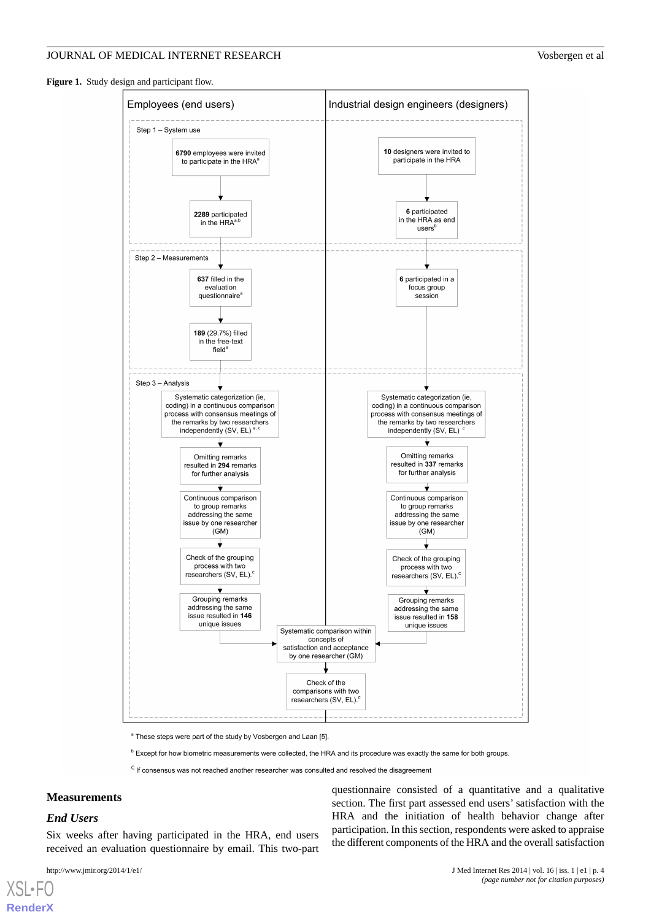<span id="page-3-0"></span>**Figure 1.** Study design and participant flow.



<sup>a</sup> These steps were part of the study by Vosbergen and Laan [5]

<sup>b</sup> Except for how biometric measurements were collected, the HRA and its procedure was exactly the same for both groups.

<sup>C</sup> If consensus was not reached another researcher was consulted and resolved the disagreement

#### **Measurements**

#### *End Users*

[XSL](http://www.w3.org/Style/XSL)•FO **[RenderX](http://www.renderx.com/)**

Six weeks after having participated in the HRA, end users received an evaluation questionnaire by email. This two-part

questionnaire consisted of a quantitative and a qualitative section. The first part assessed end users' satisfaction with the HRA and the initiation of health behavior change after participation. In this section, respondents were asked to appraise the different components of the HRA and the overall satisfaction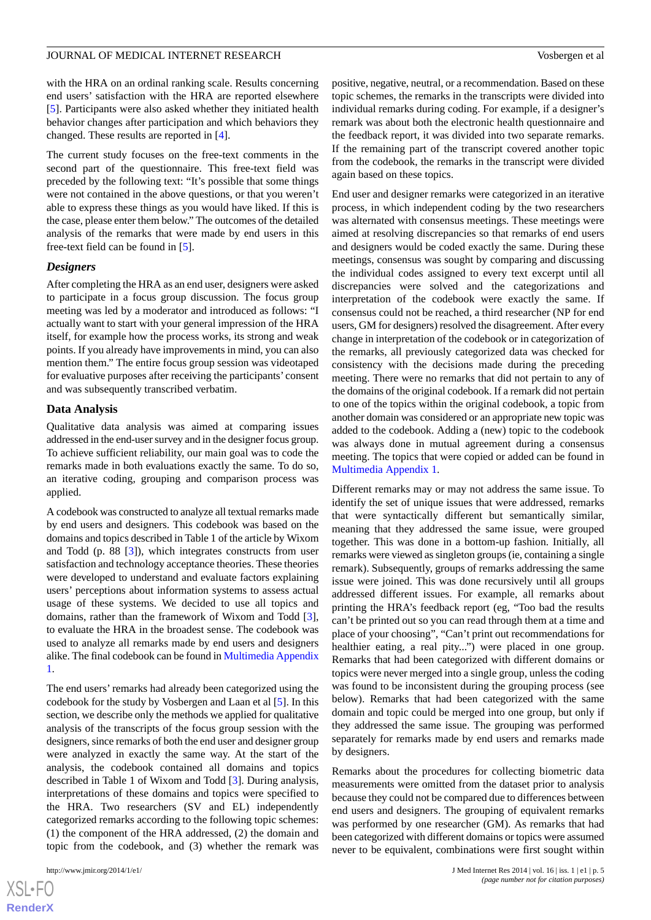with the HRA on an ordinal ranking scale. Results concerning end users' satisfaction with the HRA are reported elsewhere [[5\]](#page-12-4). Participants were also asked whether they initiated health behavior changes after participation and which behaviors they changed. These results are reported in [[4\]](#page-12-3).

The current study focuses on the free-text comments in the second part of the questionnaire. This free-text field was preceded by the following text: "It's possible that some things were not contained in the above questions, or that you weren't able to express these things as you would have liked. If this is the case, please enter them below." The outcomes of the detailed analysis of the remarks that were made by end users in this free-text field can be found in [\[5](#page-12-4)].

#### *Designers*

After completing the HRA as an end user, designers were asked to participate in a focus group discussion. The focus group meeting was led by a moderator and introduced as follows: "I actually want to start with your general impression of the HRA itself, for example how the process works, its strong and weak points. If you already have improvements in mind, you can also mention them." The entire focus group session was videotaped for evaluative purposes after receiving the participants' consent and was subsequently transcribed verbatim.

#### **Data Analysis**

Qualitative data analysis was aimed at comparing issues addressed in the end-user survey and in the designer focus group. To achieve sufficient reliability, our main goal was to code the remarks made in both evaluations exactly the same. To do so, an iterative coding, grouping and comparison process was applied.

A codebook was constructed to analyze all textual remarks made by end users and designers. This codebook was based on the domains and topics described in Table 1 of the article by Wixom and Todd (p. 88 [[3](#page-12-2)]), which integrates constructs from user satisfaction and technology acceptance theories. These theories were developed to understand and evaluate factors explaining users' perceptions about information systems to assess actual usage of these systems. We decided to use all topics and domains, rather than the framework of Wixom and Todd [[3\]](#page-12-2), to evaluate the HRA in the broadest sense. The codebook was used to analyze all remarks made by end users and designers alike. The final codebook can be found in [Multimedia Appendix](#page-12-10) [1.](#page-12-10)

The end users'remarks had already been categorized using the codebook for the study by Vosbergen and Laan et al [[5](#page-12-4)]. In this section, we describe only the methods we applied for qualitative analysis of the transcripts of the focus group session with the designers, since remarks of both the end user and designer group were analyzed in exactly the same way. At the start of the analysis, the codebook contained all domains and topics described in Table 1 of Wixom and Todd [\[3\]](#page-12-2). During analysis, interpretations of these domains and topics were specified to the HRA. Two researchers (SV and EL) independently categorized remarks according to the following topic schemes: (1) the component of the HRA addressed, (2) the domain and topic from the codebook, and (3) whether the remark was

positive, negative, neutral, or a recommendation. Based on these topic schemes, the remarks in the transcripts were divided into individual remarks during coding. For example, if a designer's remark was about both the electronic health questionnaire and the feedback report, it was divided into two separate remarks. If the remaining part of the transcript covered another topic from the codebook, the remarks in the transcript were divided again based on these topics.

End user and designer remarks were categorized in an iterative process, in which independent coding by the two researchers was alternated with consensus meetings. These meetings were aimed at resolving discrepancies so that remarks of end users and designers would be coded exactly the same. During these meetings, consensus was sought by comparing and discussing the individual codes assigned to every text excerpt until all discrepancies were solved and the categorizations and interpretation of the codebook were exactly the same. If consensus could not be reached, a third researcher (NP for end users, GM for designers) resolved the disagreement. After every change in interpretation of the codebook or in categorization of the remarks, all previously categorized data was checked for consistency with the decisions made during the preceding meeting. There were no remarks that did not pertain to any of the domains of the original codebook. If a remark did not pertain to one of the topics within the original codebook, a topic from another domain was considered or an appropriate new topic was added to the codebook. Adding a (new) topic to the codebook was always done in mutual agreement during a consensus meeting. The topics that were copied or added can be found in [Multimedia Appendix 1.](#page-12-10)

Different remarks may or may not address the same issue. To identify the set of unique issues that were addressed, remarks that were syntactically different but semantically similar, meaning that they addressed the same issue, were grouped together. This was done in a bottom-up fashion. Initially, all remarks were viewed as singleton groups (ie, containing a single remark). Subsequently, groups of remarks addressing the same issue were joined. This was done recursively until all groups addressed different issues. For example, all remarks about printing the HRA's feedback report (eg, "Too bad the results can't be printed out so you can read through them at a time and place of your choosing", "Can't print out recommendations for healthier eating, a real pity...") were placed in one group. Remarks that had been categorized with different domains or topics were never merged into a single group, unless the coding was found to be inconsistent during the grouping process (see below). Remarks that had been categorized with the same domain and topic could be merged into one group, but only if they addressed the same issue. The grouping was performed separately for remarks made by end users and remarks made by designers.

Remarks about the procedures for collecting biometric data measurements were omitted from the dataset prior to analysis because they could not be compared due to differences between end users and designers. The grouping of equivalent remarks was performed by one researcher (GM). As remarks that had been categorized with different domains or topics were assumed never to be equivalent, combinations were first sought within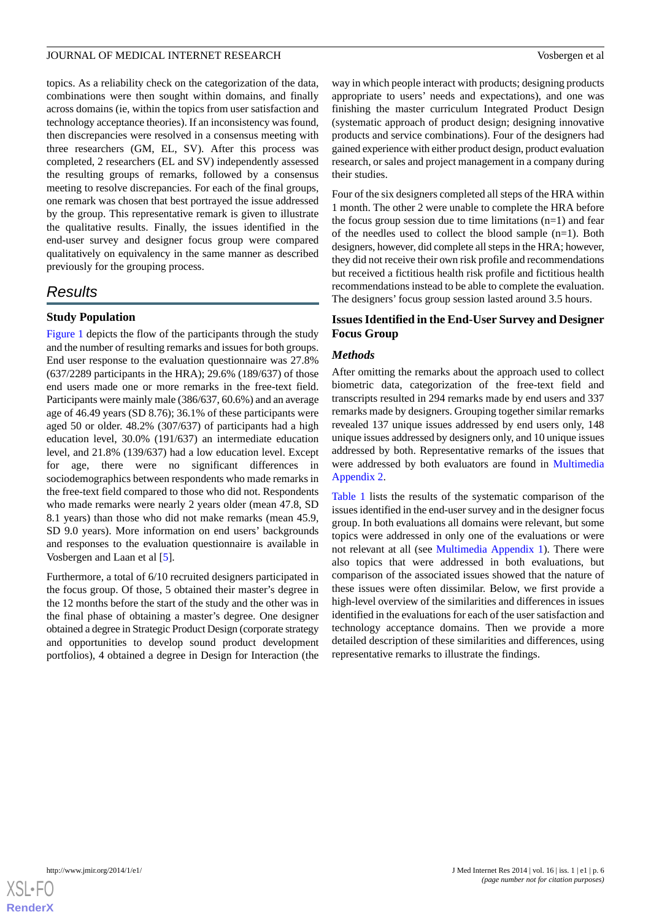topics. As a reliability check on the categorization of the data, combinations were then sought within domains, and finally across domains (ie, within the topics from user satisfaction and technology acceptance theories). If an inconsistency was found, then discrepancies were resolved in a consensus meeting with three researchers (GM, EL, SV). After this process was completed, 2 researchers (EL and SV) independently assessed the resulting groups of remarks, followed by a consensus meeting to resolve discrepancies. For each of the final groups, one remark was chosen that best portrayed the issue addressed by the group. This representative remark is given to illustrate the qualitative results. Finally, the issues identified in the end-user survey and designer focus group were compared qualitatively on equivalency in the same manner as described previously for the grouping process.

## *Results*

## **Study Population**

[Figure 1](#page-3-0) depicts the flow of the participants through the study and the number of resulting remarks and issues for both groups. End user response to the evaluation questionnaire was 27.8% (637/2289 participants in the HRA); 29.6% (189/637) of those end users made one or more remarks in the free-text field. Participants were mainly male (386/637, 60.6%) and an average age of 46.49 years (SD 8.76); 36.1% of these participants were aged 50 or older. 48.2% (307/637) of participants had a high education level, 30.0% (191/637) an intermediate education level, and 21.8% (139/637) had a low education level. Except for age, there were no significant differences in sociodemographics between respondents who made remarks in the free-text field compared to those who did not. Respondents who made remarks were nearly 2 years older (mean 47.8, SD 8.1 years) than those who did not make remarks (mean 45.9, SD 9.0 years). More information on end users' backgrounds and responses to the evaluation questionnaire is available in Vosbergen and Laan et al [\[5](#page-12-4)].

Furthermore, a total of 6/10 recruited designers participated in the focus group. Of those, 5 obtained their master's degree in the 12 months before the start of the study and the other was in the final phase of obtaining a master's degree. One designer obtained a degree in Strategic Product Design (corporate strategy and opportunities to develop sound product development portfolios), 4 obtained a degree in Design for Interaction (the

way in which people interact with products; designing products appropriate to users' needs and expectations), and one was finishing the master curriculum Integrated Product Design (systematic approach of product design; designing innovative products and service combinations). Four of the designers had gained experience with either product design, product evaluation research, or sales and project management in a company during their studies.

Four of the six designers completed all steps of the HRA within 1 month. The other 2 were unable to complete the HRA before the focus group session due to time limitations  $(n=1)$  and fear of the needles used to collect the blood sample (n=1). Both designers, however, did complete all steps in the HRA; however, they did not receive their own risk profile and recommendations but received a fictitious health risk profile and fictitious health recommendations instead to be able to complete the evaluation. The designers' focus group session lasted around 3.5 hours.

## **Issues Identified in the End-User Survey and Designer Focus Group**

## *Methods*

After omitting the remarks about the approach used to collect biometric data, categorization of the free-text field and transcripts resulted in 294 remarks made by end users and 337 remarks made by designers. Grouping together similar remarks revealed 137 unique issues addressed by end users only, 148 unique issues addressed by designers only, and 10 unique issues addressed by both. Representative remarks of the issues that were addressed by both evaluators are found in [Multimedia](#page-12-11) [Appendix 2.](#page-12-11)

[Table 1](#page-6-0) lists the results of the systematic comparison of the issues identified in the end-user survey and in the designer focus group. In both evaluations all domains were relevant, but some topics were addressed in only one of the evaluations or were not relevant at all (see [Multimedia Appendix 1](#page-12-10)). There were also topics that were addressed in both evaluations, but comparison of the associated issues showed that the nature of these issues were often dissimilar. Below, we first provide a high-level overview of the similarities and differences in issues identified in the evaluations for each of the user satisfaction and technology acceptance domains. Then we provide a more detailed description of these similarities and differences, using representative remarks to illustrate the findings.

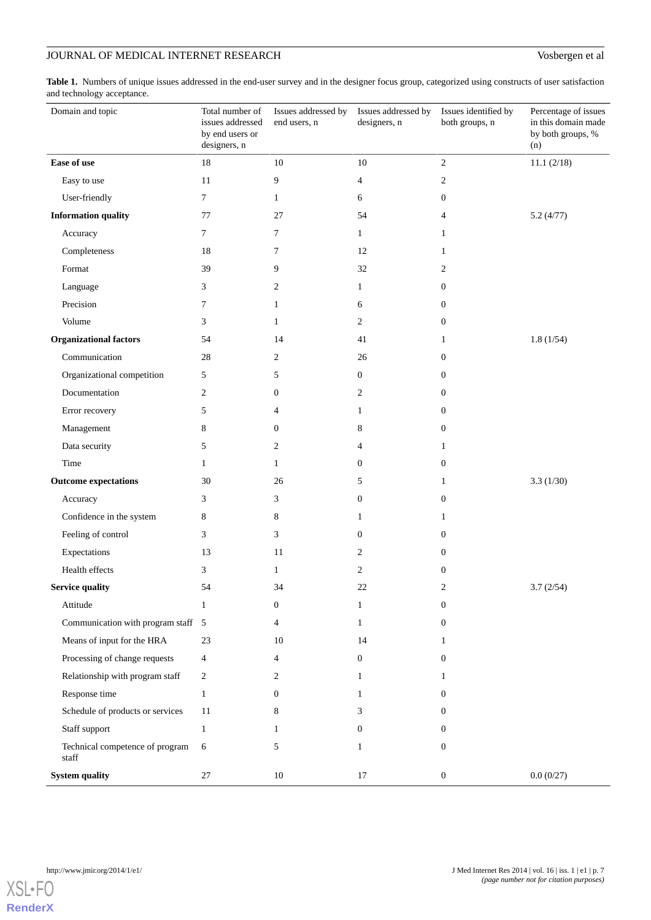<span id="page-6-0"></span>Table 1. Numbers of unique issues addressed in the end-user survey and in the designer focus group, categorized using constructs of user satisfaction and technology acceptance.

| Domain and topic                         | Total number of<br>issues addressed<br>by end users or<br>designers, n | Issues addressed by<br>end users, n | Issues addressed by<br>designers, n | Issues identified by<br>both groups, n | Percentage of issues<br>in this domain made<br>by both groups, %<br>(n) |
|------------------------------------------|------------------------------------------------------------------------|-------------------------------------|-------------------------------------|----------------------------------------|-------------------------------------------------------------------------|
| Ease of use                              | 18                                                                     | $10\,$                              | 10                                  | $\boldsymbol{2}$                       | 11.1 (2/18)                                                             |
| Easy to use                              | 11                                                                     | 9                                   | 4                                   | 2                                      |                                                                         |
| User-friendly                            | 7                                                                      | 1                                   | 6                                   | $\mathbf{0}$                           |                                                                         |
| <b>Information quality</b>               | 77                                                                     | 27                                  | 54                                  | 4                                      | 5.2(4/77)                                                               |
| Accuracy                                 | 7                                                                      | 7                                   | $\mathbf{1}$                        | 1                                      |                                                                         |
| Completeness                             | 18                                                                     | 7                                   | 12                                  | 1                                      |                                                                         |
| Format                                   | 39                                                                     | 9                                   | 32                                  | 2                                      |                                                                         |
| Language                                 | 3                                                                      | 2                                   | 1                                   | $\mathbf{0}$                           |                                                                         |
| Precision                                | 7                                                                      | 1                                   | 6                                   | $\mathbf{0}$                           |                                                                         |
| Volume                                   | 3                                                                      | 1                                   | $\overline{2}$                      | $\mathbf{0}$                           |                                                                         |
| <b>Organizational factors</b>            | 54                                                                     | 14                                  | 41                                  | 1                                      | 1.8(1/54)                                                               |
| Communication                            | 28                                                                     | 2                                   | 26                                  | $\mathbf{0}$                           |                                                                         |
| Organizational competition               | 5                                                                      | 5                                   | $\boldsymbol{0}$                    | $\mathbf{0}$                           |                                                                         |
| Documentation                            | 2                                                                      | $\boldsymbol{0}$                    | $\overline{c}$                      | $\mathbf{0}$                           |                                                                         |
| Error recovery                           | 5                                                                      | $\overline{4}$                      | 1                                   | $\mathbf{0}$                           |                                                                         |
| Management                               | 8                                                                      | $\boldsymbol{0}$                    | 8                                   | $\mathbf{0}$                           |                                                                         |
| Data security                            | 5                                                                      | 2                                   | 4                                   | 1                                      |                                                                         |
| Time                                     | 1                                                                      | 1                                   | 0                                   | $\mathbf{0}$                           |                                                                         |
| <b>Outcome expectations</b>              | 30                                                                     | 26                                  | 5                                   | 1                                      | 3.3(1/30)                                                               |
| Accuracy                                 | 3                                                                      | 3                                   | 0                                   | $\mathbf{0}$                           |                                                                         |
| Confidence in the system                 | 8                                                                      | 8                                   | 1                                   | 1                                      |                                                                         |
| Feeling of control                       | 3                                                                      | 3                                   | $\mathbf{0}$                        | $\mathbf{0}$                           |                                                                         |
| Expectations                             | 13                                                                     | 11                                  | 2                                   | $\boldsymbol{0}$                       |                                                                         |
| Health effects                           | 3                                                                      | 1                                   | $\overline{c}$                      | $\mathbf{0}$                           |                                                                         |
| <b>Service quality</b>                   | 54                                                                     | 34                                  | 22.                                 | $\mathfrak{D}$                         | 3.7(2/54)                                                               |
| Attitude                                 | 1                                                                      | $\mathbf{0}$                        | 1                                   | $\boldsymbol{0}$                       |                                                                         |
| Communication with program staff 5       |                                                                        | 4                                   | 1                                   | $\overline{0}$                         |                                                                         |
| Means of input for the HRA               | 23                                                                     | 10                                  | 14                                  | 1                                      |                                                                         |
| Processing of change requests            | 4                                                                      | 4                                   | 0                                   | $\boldsymbol{0}$                       |                                                                         |
| Relationship with program staff          | 2                                                                      | 2                                   | 1                                   | 1                                      |                                                                         |
| Response time                            | $\mathbf{1}$                                                           | $\mathbf{0}$                        | 1                                   | $\overline{0}$                         |                                                                         |
| Schedule of products or services         | 11                                                                     | 8                                   | 3                                   | $\overline{0}$                         |                                                                         |
| Staff support                            | 1                                                                      | 1                                   | 0                                   | $\boldsymbol{0}$                       |                                                                         |
| Technical competence of program<br>staff | 6                                                                      | 5                                   | 1                                   | $\overline{0}$                         |                                                                         |
| <b>System quality</b>                    | 27                                                                     | 10                                  | $17\,$                              | $\boldsymbol{0}$                       | 0.0(0/27)                                                               |

[XSL](http://www.w3.org/Style/XSL)•FO **[RenderX](http://www.renderx.com/)**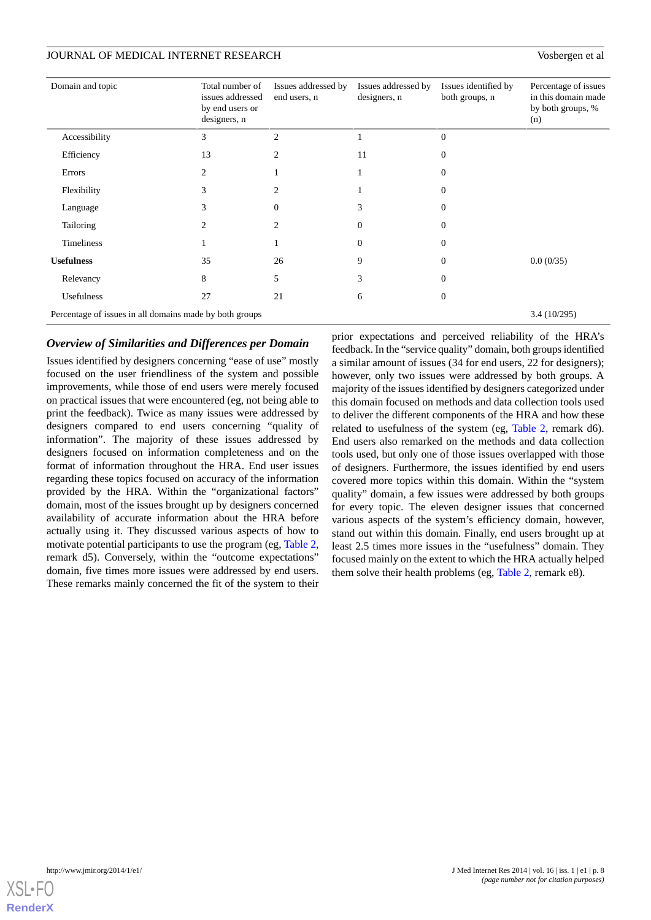| Domain and topic                                        | Total number of<br>issues addressed<br>by end users or<br>designers, n | Issues addressed by<br>end users, n | Issues addressed by<br>designers, n | Issues identified by<br>both groups, n | Percentage of issues<br>in this domain made<br>by both groups, %<br>(n) |
|---------------------------------------------------------|------------------------------------------------------------------------|-------------------------------------|-------------------------------------|----------------------------------------|-------------------------------------------------------------------------|
| Accessibility                                           | 3                                                                      | $\overline{2}$                      |                                     | $\Omega$                               |                                                                         |
| Efficiency                                              | 13                                                                     | $\overline{c}$                      | 11                                  | $\Omega$                               |                                                                         |
| Errors                                                  | 2                                                                      |                                     |                                     |                                        |                                                                         |
| Flexibility                                             | 3                                                                      | $\overline{2}$                      |                                     | $\Omega$                               |                                                                         |
| Language                                                | 3                                                                      | $\Omega$                            | 3                                   | $\Omega$                               |                                                                         |
| Tailoring                                               | 2.                                                                     | $\mathfrak{D}$                      | $\Omega$                            | 0                                      |                                                                         |
| <b>Timeliness</b>                                       |                                                                        |                                     | $\Omega$                            | $\Omega$                               |                                                                         |
| <b>Usefulness</b>                                       | 35                                                                     | 26                                  | 9                                   | $\Omega$                               | 0.0(0/35)                                                               |
| Relevancy                                               | 8                                                                      | 5                                   | 3                                   | $\Omega$                               |                                                                         |
| Usefulness                                              | 27                                                                     | 21                                  | 6                                   | $\Omega$                               |                                                                         |
| Percentage of issues in all domains made by both groups |                                                                        |                                     |                                     |                                        | 3.4(10/295)                                                             |

#### *Overview of Similarities and Differences per Domain*

Issues identified by designers concerning "ease of use" mostly focused on the user friendliness of the system and possible improvements, while those of end users were merely focused on practical issues that were encountered (eg, not being able to print the feedback). Twice as many issues were addressed by designers compared to end users concerning "quality of information". The majority of these issues addressed by designers focused on information completeness and on the format of information throughout the HRA. End user issues regarding these topics focused on accuracy of the information provided by the HRA. Within the "organizational factors" domain, most of the issues brought up by designers concerned availability of accurate information about the HRA before actually using it. They discussed various aspects of how to motivate potential participants to use the program (eg, [Table 2](#page-8-0), remark d5). Conversely, within the "outcome expectations" domain, five times more issues were addressed by end users. These remarks mainly concerned the fit of the system to their

prior expectations and perceived reliability of the HRA's feedback. In the "service quality" domain, both groups identified a similar amount of issues (34 for end users, 22 for designers); however, only two issues were addressed by both groups. A majority of the issues identified by designers categorized under this domain focused on methods and data collection tools used to deliver the different components of the HRA and how these related to usefulness of the system (eg, [Table 2](#page-8-0), remark d6). End users also remarked on the methods and data collection tools used, but only one of those issues overlapped with those of designers. Furthermore, the issues identified by end users covered more topics within this domain. Within the "system quality" domain, a few issues were addressed by both groups for every topic. The eleven designer issues that concerned various aspects of the system's efficiency domain, however, stand out within this domain. Finally, end users brought up at least 2.5 times more issues in the "usefulness" domain. They focused mainly on the extent to which the HRA actually helped them solve their health problems (eg, [Table 2](#page-8-0), remark e8).

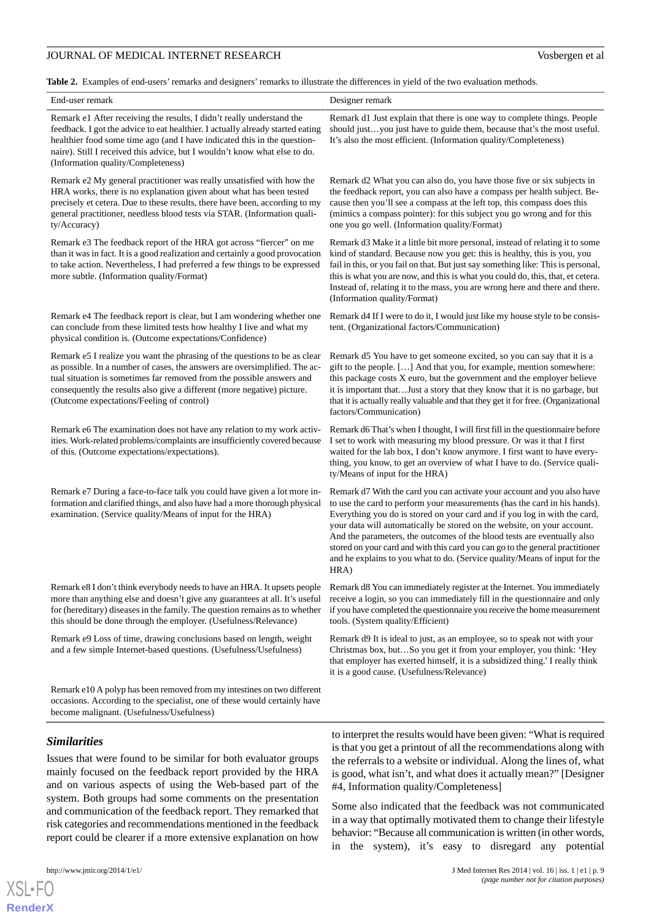<span id="page-8-0"></span>**Table 2.** Examples of end-users' remarks and designers' remarks to illustrate the differences in yield of the two evaluation methods.

| End-user remark                                                                                                                                                                                                                                                                                                                                          | Designer remark                                                                                                                                                                                                                                                                                                                                                                                                                                                                                                                                                |
|----------------------------------------------------------------------------------------------------------------------------------------------------------------------------------------------------------------------------------------------------------------------------------------------------------------------------------------------------------|----------------------------------------------------------------------------------------------------------------------------------------------------------------------------------------------------------------------------------------------------------------------------------------------------------------------------------------------------------------------------------------------------------------------------------------------------------------------------------------------------------------------------------------------------------------|
| Remark e1 After receiving the results, I didn't really understand the<br>feedback. I got the advice to eat healthier. I actually already started eating<br>healthier food some time ago (and I have indicated this in the question-<br>naire). Still I received this advice, but I wouldn't know what else to do.<br>(Information quality/Completeness)  | Remark d1 Just explain that there is one way to complete things. People<br>should justyou just have to guide them, because that's the most useful.<br>It's also the most efficient. (Information quality/Completeness)                                                                                                                                                                                                                                                                                                                                         |
| Remark e2 My general practitioner was really unsatisfied with how the<br>HRA works, there is no explanation given about what has been tested<br>precisely et cetera. Due to these results, there have been, according to my<br>general practitioner, needless blood tests via STAR. (Information quali-<br>ty/Accuracy)                                  | Remark d2 What you can also do, you have those five or six subjects in<br>the feedback report, you can also have a compass per health subject. Be-<br>cause then you'll see a compass at the left top, this compass does this<br>(mimics a compass pointer): for this subject you go wrong and for this<br>one you go well. (Information quality/Format)                                                                                                                                                                                                       |
| Remark e3 The feedback report of the HRA got across "fiercer" on me<br>than it was in fact. It is a good realization and certainly a good provocation<br>to take action. Nevertheless, I had preferred a few things to be expressed<br>more subtle. (Information quality/Format)                                                                         | Remark d3 Make it a little bit more personal, instead of relating it to some<br>kind of standard. Because now you get: this is healthy, this is you, you<br>fail in this, or you fail on that. But just say something like: This is personal,<br>this is what you are now, and this is what you could do, this, that, et cetera.<br>Instead of, relating it to the mass, you are wrong here and there and there.<br>(Information quality/Format)                                                                                                               |
| Remark e4 The feedback report is clear, but I am wondering whether one<br>can conclude from these limited tests how healthy I live and what my<br>physical condition is. (Outcome expectations/Confidence)                                                                                                                                               | Remark d4 If I were to do it, I would just like my house style to be consis-<br>tent. (Organizational factors/Communication)                                                                                                                                                                                                                                                                                                                                                                                                                                   |
| Remark e5 I realize you want the phrasing of the questions to be as clear<br>as possible. In a number of cases, the answers are oversimplified. The ac-<br>tual situation is sometimes far removed from the possible answers and<br>consequently the results also give a different (more negative) picture.<br>(Outcome expectations/Feeling of control) | Remark d5 You have to get someone excited, so you can say that it is a<br>gift to the people. [] And that you, for example, mention somewhere:<br>this package costs X euro, but the government and the employer believe<br>it is important thatJust a story that they know that it is no garbage, but<br>that it is actually really valuable and that they get it for free. (Organizational<br>factors/Communication)                                                                                                                                         |
| Remark e6 The examination does not have any relation to my work activ-<br>ities. Work-related problems/complaints are insufficiently covered because<br>of this. (Outcome expectations/expectations).                                                                                                                                                    | Remark d6 That's when I thought, I will first fill in the questionnaire before<br>I set to work with measuring my blood pressure. Or was it that I first<br>waited for the lab box, I don't know anymore. I first want to have every-<br>thing, you know, to get an overview of what I have to do. (Service quali-<br>ty/Means of input for the HRA)                                                                                                                                                                                                           |
| Remark e7 During a face-to-face talk you could have given a lot more in-<br>formation and clarified things, and also have had a more thorough physical<br>examination. (Service quality/Means of input for the HRA)                                                                                                                                      | Remark d7 With the card you can activate your account and you also have<br>to use the card to perform your measurements (has the card in his hands).<br>Everything you do is stored on your card and if you log in with the card,<br>your data will automatically be stored on the website, on your account.<br>And the parameters, the outcomes of the blood tests are eventually also<br>stored on your card and with this card you can go to the general practitioner<br>and he explains to you what to do. (Service quality/Means of input for the<br>HRA) |
| Remark e8 I don't think everybody needs to have an HRA. It upsets people<br>more than anything else and doesn't give any guarantees at all. It's useful<br>for (hereditary) diseases in the family. The question remains as to whether<br>this should be done through the employer. (Usefulness/Relevance)                                               | Remark d8 You can immediately register at the Internet. You immediately<br>receive a login, so you can immediately fill in the questionnaire and only<br>if you have completed the questionnaire you receive the home measurement<br>tools. (System quality/Efficient)                                                                                                                                                                                                                                                                                         |
| Remark e9 Loss of time, drawing conclusions based on length, weight<br>and a few simple Internet-based questions. (Usefulness/Usefulness)                                                                                                                                                                                                                | Remark d9 It is ideal to just, as an employee, so to speak not with your<br>Christmas box, butSo you get it from your employer, you think: 'Hey<br>that employer has exerted himself, it is a subsidized thing.' I really think<br>it is a good cause. (Usefulness/Relevance)                                                                                                                                                                                                                                                                                  |
| Remark e10 A polyp has been removed from my intestines on two different<br>occasions. According to the specialist, one of these would certainly have<br>become malignant. (Usefulness/Usefulness)                                                                                                                                                        |                                                                                                                                                                                                                                                                                                                                                                                                                                                                                                                                                                |
| <b>Similarities</b><br>Issues that were found to be similar for both evaluator groups<br>mainly focused on the feedback report provided by the HRA<br>and on various aspects of using the Web-based part of the<br>system. Both groups had some comments on the presentation                                                                             | to interpret the results would have been given: "What is required<br>is that you get a printout of all the recommendations along with<br>the referrals to a website or individual. Along the lines of, what<br>is good, what isn't, and what does it actually mean?" [Designer<br>#4, Information quality/Completeness]                                                                                                                                                                                                                                        |
| and communication of the feedback report. They remarked that<br>risk categories and recommendations mentioned in the feedback<br>report could be clearer if a more extensive explanation on how                                                                                                                                                          | Some also indicated that the feedback was not communicated<br>in a way that optimally motivated them to change their lifestyle<br>behavior: "Because all communication is written (in other words,<br>in the system), it's easy to disregard any potential                                                                                                                                                                                                                                                                                                     |



[XSL](http://www.w3.org/Style/XSL)•FO **[RenderX](http://www.renderx.com/)**

http://www.jmir.org/2014/1/e1/ J Med Internet Res 2014 | vol. 16 | iss. 1 | e1 | p. 9 *(page number not for citation purposes)*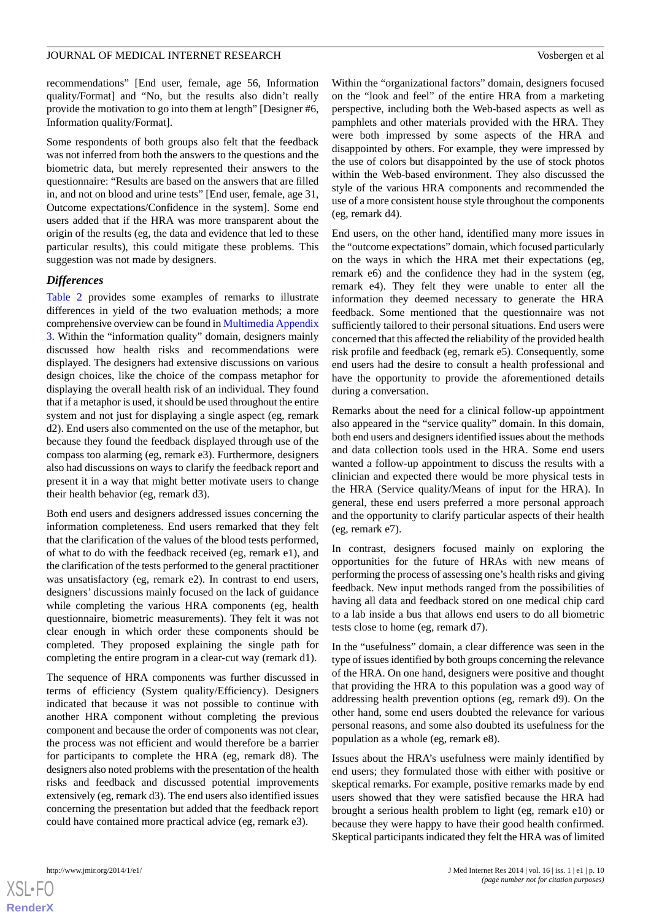recommendations" [End user, female, age 56, Information quality/Format] and "No, but the results also didn't really provide the motivation to go into them at length" [Designer #6, Information quality/Format].

Some respondents of both groups also felt that the feedback was not inferred from both the answers to the questions and the biometric data, but merely represented their answers to the questionnaire: "Results are based on the answers that are filled in, and not on blood and urine tests" [End user, female, age 31, Outcome expectations/Confidence in the system]. Some end users added that if the HRA was more transparent about the origin of the results (eg, the data and evidence that led to these particular results), this could mitigate these problems. This suggestion was not made by designers.

#### *Differences*

[Table 2](#page-8-0) provides some examples of remarks to illustrate differences in yield of the two evaluation methods; a more comprehensive overview can be found in [Multimedia Appendix](#page-12-12) [3.](#page-12-12) Within the "information quality" domain, designers mainly discussed how health risks and recommendations were displayed. The designers had extensive discussions on various design choices, like the choice of the compass metaphor for displaying the overall health risk of an individual. They found that if a metaphor is used, it should be used throughout the entire system and not just for displaying a single aspect (eg, remark d2). End users also commented on the use of the metaphor, but because they found the feedback displayed through use of the compass too alarming (eg, remark e3). Furthermore, designers also had discussions on ways to clarify the feedback report and present it in a way that might better motivate users to change their health behavior (eg, remark d3).

Both end users and designers addressed issues concerning the information completeness. End users remarked that they felt that the clarification of the values of the blood tests performed, of what to do with the feedback received (eg, remark e1), and the clarification of the tests performed to the general practitioner was unsatisfactory (eg, remark e2). In contrast to end users, designers' discussions mainly focused on the lack of guidance while completing the various HRA components (eg, health questionnaire, biometric measurements). They felt it was not clear enough in which order these components should be completed. They proposed explaining the single path for completing the entire program in a clear-cut way (remark d1).

The sequence of HRA components was further discussed in terms of efficiency (System quality/Efficiency). Designers indicated that because it was not possible to continue with another HRA component without completing the previous component and because the order of components was not clear, the process was not efficient and would therefore be a barrier for participants to complete the HRA (eg, remark d8). The designers also noted problems with the presentation of the health risks and feedback and discussed potential improvements extensively (eg, remark d3). The end users also identified issues concerning the presentation but added that the feedback report could have contained more practical advice (eg, remark e3).

Within the "organizational factors" domain, designers focused on the "look and feel" of the entire HRA from a marketing perspective, including both the Web-based aspects as well as pamphlets and other materials provided with the HRA. They were both impressed by some aspects of the HRA and disappointed by others. For example, they were impressed by the use of colors but disappointed by the use of stock photos within the Web-based environment. They also discussed the style of the various HRA components and recommended the use of a more consistent house style throughout the components (eg, remark d4).

End users, on the other hand, identified many more issues in the "outcome expectations" domain, which focused particularly on the ways in which the HRA met their expectations (eg, remark e6) and the confidence they had in the system (eg, remark e4). They felt they were unable to enter all the information they deemed necessary to generate the HRA feedback. Some mentioned that the questionnaire was not sufficiently tailored to their personal situations. End users were concerned that this affected the reliability of the provided health risk profile and feedback (eg, remark e5). Consequently, some end users had the desire to consult a health professional and have the opportunity to provide the aforementioned details during a conversation.

Remarks about the need for a clinical follow-up appointment also appeared in the "service quality" domain. In this domain, both end users and designers identified issues about the methods and data collection tools used in the HRA. Some end users wanted a follow-up appointment to discuss the results with a clinician and expected there would be more physical tests in the HRA (Service quality/Means of input for the HRA). In general, these end users preferred a more personal approach and the opportunity to clarify particular aspects of their health (eg, remark e7).

In contrast, designers focused mainly on exploring the opportunities for the future of HRAs with new means of performing the process of assessing one's health risks and giving feedback. New input methods ranged from the possibilities of having all data and feedback stored on one medical chip card to a lab inside a bus that allows end users to do all biometric tests close to home (eg, remark d7).

In the "usefulness" domain, a clear difference was seen in the type of issues identified by both groups concerning the relevance of the HRA. On one hand, designers were positive and thought that providing the HRA to this population was a good way of addressing health prevention options (eg, remark d9). On the other hand, some end users doubted the relevance for various personal reasons, and some also doubted its usefulness for the population as a whole (eg, remark e8).

Issues about the HRA's usefulness were mainly identified by end users; they formulated those with either with positive or skeptical remarks. For example, positive remarks made by end users showed that they were satisfied because the HRA had brought a serious health problem to light (eg, remark e10) or because they were happy to have their good health confirmed. Skeptical participants indicated they felt the HRA was of limited

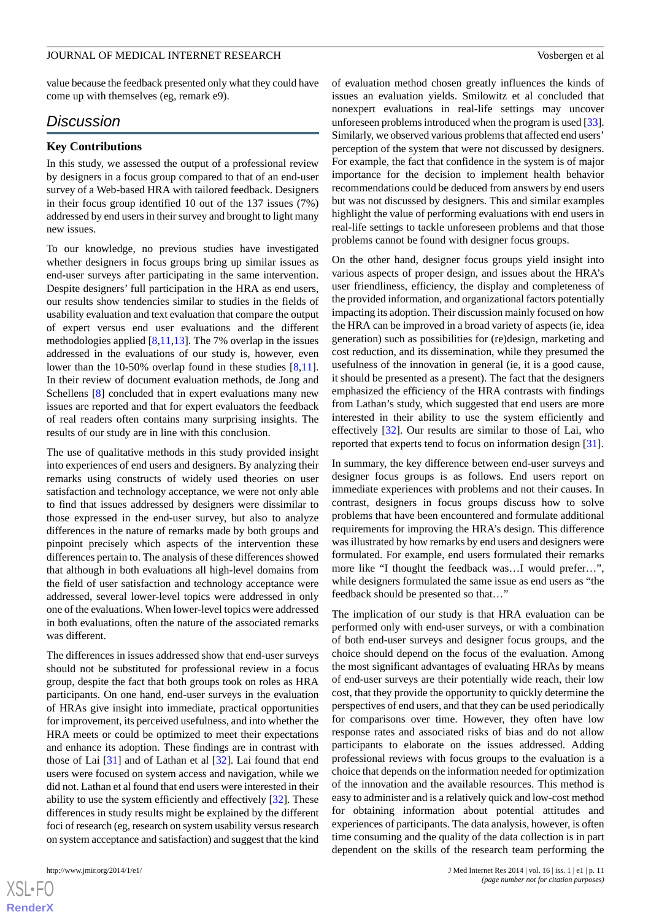value because the feedback presented only what they could have come up with themselves (eg, remark e9).

## *Discussion*

#### **Key Contributions**

In this study, we assessed the output of a professional review by designers in a focus group compared to that of an end-user survey of a Web-based HRA with tailored feedback. Designers in their focus group identified 10 out of the 137 issues (7%) addressed by end users in their survey and brought to light many new issues.

To our knowledge, no previous studies have investigated whether designers in focus groups bring up similar issues as end-user surveys after participating in the same intervention. Despite designers' full participation in the HRA as end users, our results show tendencies similar to studies in the fields of usability evaluation and text evaluation that compare the output of expert versus end user evaluations and the different methodologies applied [[8](#page-12-8)[,11](#page-12-7),[13\]](#page-12-13). The 7% overlap in the issues addressed in the evaluations of our study is, however, even lower than the 10-50% overlap found in these studies [\[8](#page-12-8),[11\]](#page-12-7). In their review of document evaluation methods, de Jong and Schellens [[8](#page-12-8)] concluded that in expert evaluations many new issues are reported and that for expert evaluators the feedback of real readers often contains many surprising insights. The results of our study are in line with this conclusion.

The use of qualitative methods in this study provided insight into experiences of end users and designers. By analyzing their remarks using constructs of widely used theories on user satisfaction and technology acceptance, we were not only able to find that issues addressed by designers were dissimilar to those expressed in the end-user survey, but also to analyze differences in the nature of remarks made by both groups and pinpoint precisely which aspects of the intervention these differences pertain to. The analysis of these differences showed that although in both evaluations all high-level domains from the field of user satisfaction and technology acceptance were addressed, several lower-level topics were addressed in only one of the evaluations. When lower-level topics were addressed in both evaluations, often the nature of the associated remarks was different.

The differences in issues addressed show that end-user surveys should not be substituted for professional review in a focus group, despite the fact that both groups took on roles as HRA participants. On one hand, end-user surveys in the evaluation of HRAs give insight into immediate, practical opportunities for improvement, its perceived usefulness, and into whether the HRA meets or could be optimized to meet their expectations and enhance its adoption. These findings are in contrast with those of Lai [[31\]](#page-13-12) and of Lathan et al [[32\]](#page-13-13). Lai found that end users were focused on system access and navigation, while we did not. Lathan et al found that end users were interested in their ability to use the system efficiently and effectively [[32\]](#page-13-13). These differences in study results might be explained by the different foci of research (eg, research on system usability versus research on system acceptance and satisfaction) and suggest that the kind

of evaluation method chosen greatly influences the kinds of issues an evaluation yields. Smilowitz et al concluded that nonexpert evaluations in real-life settings may uncover unforeseen problems introduced when the program is used [\[33](#page-13-14)]. Similarly, we observed various problems that affected end users' perception of the system that were not discussed by designers. For example, the fact that confidence in the system is of major importance for the decision to implement health behavior recommendations could be deduced from answers by end users but was not discussed by designers. This and similar examples highlight the value of performing evaluations with end users in real-life settings to tackle unforeseen problems and that those problems cannot be found with designer focus groups.

On the other hand, designer focus groups yield insight into various aspects of proper design, and issues about the HRA's user friendliness, efficiency, the display and completeness of the provided information, and organizational factors potentially impacting its adoption. Their discussion mainly focused on how the HRA can be improved in a broad variety of aspects (ie, idea generation) such as possibilities for (re)design, marketing and cost reduction, and its dissemination, while they presumed the usefulness of the innovation in general (ie, it is a good cause, it should be presented as a present). The fact that the designers emphasized the efficiency of the HRA contrasts with findings from Lathan's study, which suggested that end users are more interested in their ability to use the system efficiently and effectively [[32\]](#page-13-13). Our results are similar to those of Lai, who reported that experts tend to focus on information design [\[31](#page-13-12)].

In summary, the key difference between end-user surveys and designer focus groups is as follows. End users report on immediate experiences with problems and not their causes. In contrast, designers in focus groups discuss how to solve problems that have been encountered and formulate additional requirements for improving the HRA's design. This difference was illustrated by how remarks by end users and designers were formulated. For example, end users formulated their remarks more like "I thought the feedback was…I would prefer…", while designers formulated the same issue as end users as "the feedback should be presented so that…"

The implication of our study is that HRA evaluation can be performed only with end-user surveys, or with a combination of both end-user surveys and designer focus groups, and the choice should depend on the focus of the evaluation. Among the most significant advantages of evaluating HRAs by means of end-user surveys are their potentially wide reach, their low cost, that they provide the opportunity to quickly determine the perspectives of end users, and that they can be used periodically for comparisons over time. However, they often have low response rates and associated risks of bias and do not allow participants to elaborate on the issues addressed. Adding professional reviews with focus groups to the evaluation is a choice that depends on the information needed for optimization of the innovation and the available resources. This method is easy to administer and is a relatively quick and low-cost method for obtaining information about potential attitudes and experiences of participants. The data analysis, however, is often time consuming and the quality of the data collection is in part dependent on the skills of the research team performing the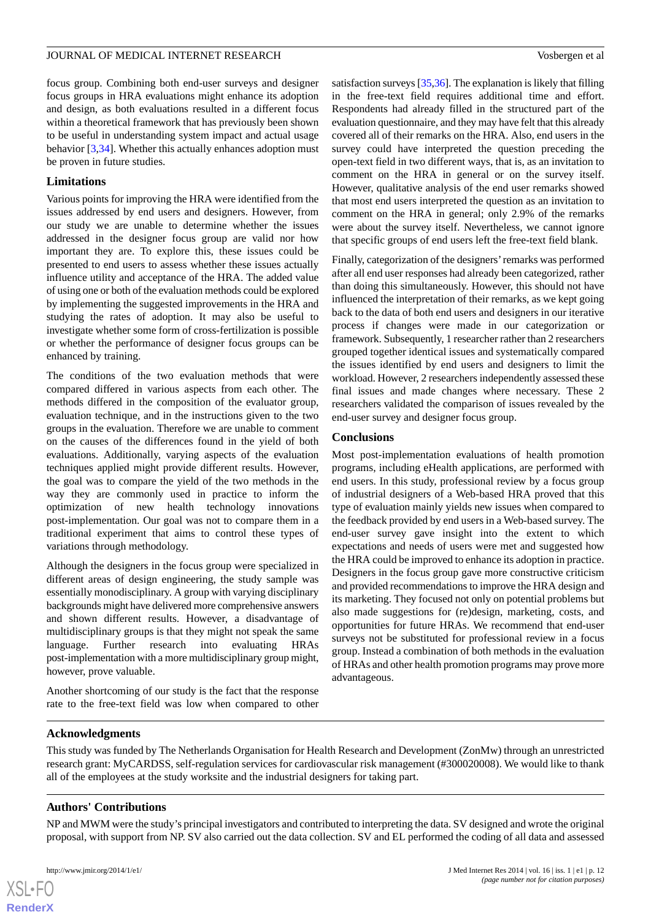focus group. Combining both end-user surveys and designer focus groups in HRA evaluations might enhance its adoption and design, as both evaluations resulted in a different focus within a theoretical framework that has previously been shown to be useful in understanding system impact and actual usage behavior [[3](#page-12-2)[,34](#page-13-15)]. Whether this actually enhances adoption must be proven in future studies.

## **Limitations**

Various points for improving the HRA were identified from the issues addressed by end users and designers. However, from our study we are unable to determine whether the issues addressed in the designer focus group are valid nor how important they are. To explore this, these issues could be presented to end users to assess whether these issues actually influence utility and acceptance of the HRA. The added value of using one or both of the evaluation methods could be explored by implementing the suggested improvements in the HRA and studying the rates of adoption. It may also be useful to investigate whether some form of cross-fertilization is possible or whether the performance of designer focus groups can be enhanced by training.

The conditions of the two evaluation methods that were compared differed in various aspects from each other. The methods differed in the composition of the evaluator group, evaluation technique, and in the instructions given to the two groups in the evaluation. Therefore we are unable to comment on the causes of the differences found in the yield of both evaluations. Additionally, varying aspects of the evaluation techniques applied might provide different results. However, the goal was to compare the yield of the two methods in the way they are commonly used in practice to inform the optimization of new health technology innovations post-implementation. Our goal was not to compare them in a traditional experiment that aims to control these types of variations through methodology.

Although the designers in the focus group were specialized in different areas of design engineering, the study sample was essentially monodisciplinary. A group with varying disciplinary backgrounds might have delivered more comprehensive answers and shown different results. However, a disadvantage of multidisciplinary groups is that they might not speak the same language. Further research into evaluating HRAs post-implementation with a more multidisciplinary group might, however, prove valuable.

Another shortcoming of our study is the fact that the response rate to the free-text field was low when compared to other satisfaction surveys [\[35](#page-13-16)[,36](#page-13-17)]. The explanation is likely that filling in the free-text field requires additional time and effort. Respondents had already filled in the structured part of the evaluation questionnaire, and they may have felt that this already covered all of their remarks on the HRA. Also, end users in the survey could have interpreted the question preceding the open-text field in two different ways, that is, as an invitation to comment on the HRA in general or on the survey itself. However, qualitative analysis of the end user remarks showed that most end users interpreted the question as an invitation to comment on the HRA in general; only 2.9% of the remarks were about the survey itself. Nevertheless, we cannot ignore that specific groups of end users left the free-text field blank.

Finally, categorization of the designers'remarks was performed after all end user responses had already been categorized, rather than doing this simultaneously. However, this should not have influenced the interpretation of their remarks, as we kept going back to the data of both end users and designers in our iterative process if changes were made in our categorization or framework. Subsequently, 1 researcher rather than 2 researchers grouped together identical issues and systematically compared the issues identified by end users and designers to limit the workload. However, 2 researchers independently assessed these final issues and made changes where necessary. These 2 researchers validated the comparison of issues revealed by the end-user survey and designer focus group.

### **Conclusions**

Most post-implementation evaluations of health promotion programs, including eHealth applications, are performed with end users. In this study, professional review by a focus group of industrial designers of a Web-based HRA proved that this type of evaluation mainly yields new issues when compared to the feedback provided by end users in a Web-based survey. The end-user survey gave insight into the extent to which expectations and needs of users were met and suggested how the HRA could be improved to enhance its adoption in practice. Designers in the focus group gave more constructive criticism and provided recommendations to improve the HRA design and its marketing. They focused not only on potential problems but also made suggestions for (re)design, marketing, costs, and opportunities for future HRAs. We recommend that end-user surveys not be substituted for professional review in a focus group. Instead a combination of both methods in the evaluation of HRAs and other health promotion programs may prove more advantageous.

### **Acknowledgments**

This study was funded by The Netherlands Organisation for Health Research and Development (ZonMw) through an unrestricted research grant: MyCARDSS, self-regulation services for cardiovascular risk management (#300020008). We would like to thank all of the employees at the study worksite and the industrial designers for taking part.

### **Authors' Contributions**

NP and MWM were the study's principal investigators and contributed to interpreting the data. SV designed and wrote the original proposal, with support from NP. SV also carried out the data collection. SV and EL performed the coding of all data and assessed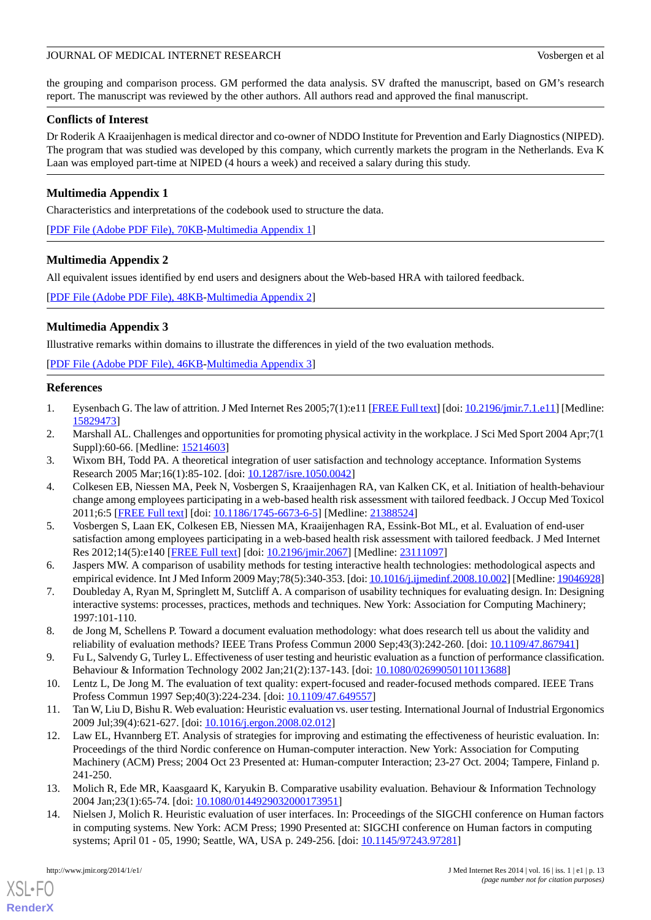the grouping and comparison process. GM performed the data analysis. SV drafted the manuscript, based on GM's research report. The manuscript was reviewed by the other authors. All authors read and approved the final manuscript.

### **Conflicts of Interest**

Dr Roderik A Kraaijenhagen is medical director and co-owner of NDDO Institute for Prevention and Early Diagnostics (NIPED). The program that was studied was developed by this company, which currently markets the program in the Netherlands. Eva K Laan was employed part-time at NIPED (4 hours a week) and received a salary during this study.

## <span id="page-12-10"></span>**Multimedia Appendix 1**

Characteristics and interpretations of the codebook used to structure the data.

<span id="page-12-11"></span>[[PDF File \(Adobe PDF File\), 70KB-Multimedia Appendix 1](https://jmir.org/api/download?alt_name=jmir_v16i1e1_app1.pdf&filename=85a27790763ce3cf3ff3c1a4bda957fb.pdf)]

### **Multimedia Appendix 2**

All equivalent issues identified by end users and designers about the Web-based HRA with tailored feedback.

<span id="page-12-12"></span>[[PDF File \(Adobe PDF File\), 48KB-Multimedia Appendix 2](https://jmir.org/api/download?alt_name=jmir_v16i1e1_app2.pdf&filename=e6db331eebf9615b5cf0170723386c28.pdf)]

## **Multimedia Appendix 3**

Illustrative remarks within domains to illustrate the differences in yield of the two evaluation methods.

<span id="page-12-0"></span>[[PDF File \(Adobe PDF File\), 46KB-Multimedia Appendix 3](https://jmir.org/api/download?alt_name=jmir_v16i1e1_app3.pdf&filename=270227b81c26da8640bc991e264ee7b2.pdf)]

#### <span id="page-12-1"></span>**References**

- <span id="page-12-2"></span>1. Eysenbach G. The law of attrition. J Med Internet Res 2005;7(1):e11 [\[FREE Full text](http://www.jmir.org/2005/1/e11/)] [doi: [10.2196/jmir.7.1.e11](http://dx.doi.org/10.2196/jmir.7.1.e11)] [Medline: [15829473](http://www.ncbi.nlm.nih.gov/entrez/query.fcgi?cmd=Retrieve&db=PubMed&list_uids=15829473&dopt=Abstract)]
- <span id="page-12-3"></span>2. Marshall AL. Challenges and opportunities for promoting physical activity in the workplace. J Sci Med Sport 2004 Apr;7(1 Suppl):60-66. [Medline: [15214603](http://www.ncbi.nlm.nih.gov/entrez/query.fcgi?cmd=Retrieve&db=PubMed&list_uids=15214603&dopt=Abstract)]
- <span id="page-12-4"></span>3. Wixom BH, Todd PA. A theoretical integration of user satisfaction and technology acceptance. Information Systems Research 2005 Mar;16(1):85-102. [doi: [10.1287/isre.1050.0042\]](http://dx.doi.org/10.1287/isre.1050.0042)
- 4. Colkesen EB, Niessen MA, Peek N, Vosbergen S, Kraaijenhagen RA, van Kalken CK, et al. Initiation of health-behaviour change among employees participating in a web-based health risk assessment with tailored feedback. J Occup Med Toxicol 2011;6:5 [[FREE Full text](http://www.occup-med.com/content/6//5)] [doi: [10.1186/1745-6673-6-5\]](http://dx.doi.org/10.1186/1745-6673-6-5) [Medline: [21388524\]](http://www.ncbi.nlm.nih.gov/entrez/query.fcgi?cmd=Retrieve&db=PubMed&list_uids=21388524&dopt=Abstract)
- <span id="page-12-6"></span><span id="page-12-5"></span>5. Vosbergen S, Laan EK, Colkesen EB, Niessen MA, Kraaijenhagen RA, Essink-Bot ML, et al. Evaluation of end-user satisfaction among employees participating in a web-based health risk assessment with tailored feedback. J Med Internet Res 2012;14(5):e140 [\[FREE Full text\]](http://www.jmir.org/2012/5/e140/) [doi: [10.2196/jmir.2067](http://dx.doi.org/10.2196/jmir.2067)] [Medline: [23111097\]](http://www.ncbi.nlm.nih.gov/entrez/query.fcgi?cmd=Retrieve&db=PubMed&list_uids=23111097&dopt=Abstract)
- <span id="page-12-8"></span>6. Jaspers MW. A comparison of usability methods for testing interactive health technologies: methodological aspects and empirical evidence. Int J Med Inform 2009 May;78(5):340-353. [doi: [10.1016/j.ijmedinf.2008.10.002\]](http://dx.doi.org/10.1016/j.ijmedinf.2008.10.002) [Medline: [19046928\]](http://www.ncbi.nlm.nih.gov/entrez/query.fcgi?cmd=Retrieve&db=PubMed&list_uids=19046928&dopt=Abstract)
- 7. Doubleday A, Ryan M, Springlett M, Sutcliff A. A comparison of usability techniques for evaluating design. In: Designing interactive systems: processes, practices, methods and techniques. New York: Association for Computing Machinery; 1997:101-110.
- <span id="page-12-7"></span>8. de Jong M, Schellens P. Toward a document evaluation methodology: what does research tell us about the validity and reliability of evaluation methods? IEEE Trans Profess Commun 2000 Sep;43(3):242-260. [doi: [10.1109/47.867941](http://dx.doi.org/10.1109/47.867941)]
- <span id="page-12-9"></span>9. Fu L, Salvendy G, Turley L. Effectiveness of user testing and heuristic evaluation as a function of performance classification. Behaviour & Information Technology 2002 Jan;21(2):137-143. [doi: [10.1080/02699050110113688\]](http://dx.doi.org/10.1080/02699050110113688)
- 10. Lentz L, De Jong M. The evaluation of text quality: expert-focused and reader-focused methods compared. IEEE Trans Profess Commun 1997 Sep;40(3):224-234. [doi: [10.1109/47.649557](http://dx.doi.org/10.1109/47.649557)]
- <span id="page-12-13"></span>11. Tan W, Liu D, Bishu R. Web evaluation: Heuristic evaluation vs. user testing. International Journal of Industrial Ergonomics 2009 Jul;39(4):621-627. [doi: [10.1016/j.ergon.2008.02.012](http://dx.doi.org/10.1016/j.ergon.2008.02.012)]
- 12. Law EL, Hvannberg ET. Analysis of strategies for improving and estimating the effectiveness of heuristic evaluation. In: Proceedings of the third Nordic conference on Human-computer interaction. New York: Association for Computing Machinery (ACM) Press; 2004 Oct 23 Presented at: Human-computer Interaction; 23-27 Oct. 2004; Tampere, Finland p. 241-250.
- 13. Molich R, Ede MR, Kaasgaard K, Karyukin B. Comparative usability evaluation. Behaviour & Information Technology 2004 Jan;23(1):65-74. [doi: [10.1080/0144929032000173951\]](http://dx.doi.org/10.1080/0144929032000173951)
- 14. Nielsen J, Molich R. Heuristic evaluation of user interfaces. In: Proceedings of the SIGCHI conference on Human factors in computing systems. New York: ACM Press; 1990 Presented at: SIGCHI conference on Human factors in computing systems; April 01 - 05, 1990; Seattle, WA, USA p. 249-256. [doi: [10.1145/97243.97281](http://dx.doi.org/10.1145/97243.97281)]

[XSL](http://www.w3.org/Style/XSL)•FO **[RenderX](http://www.renderx.com/)**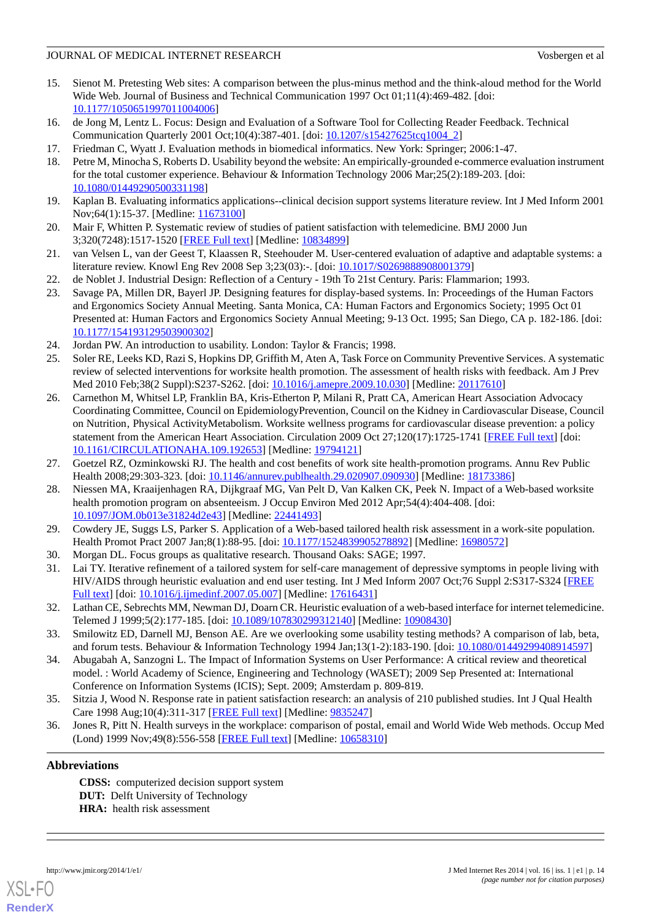- 15. Sienot M. Pretesting Web sites: A comparison between the plus-minus method and the think-aloud method for the World Wide Web. Journal of Business and Technical Communication 1997 Oct 01;11(4):469-482. [doi: [10.1177/1050651997011004006\]](http://dx.doi.org/10.1177/1050651997011004006)
- <span id="page-13-1"></span><span id="page-13-0"></span>16. de Jong M, Lentz L. Focus: Design and Evaluation of a Software Tool for Collecting Reader Feedback. Technical Communication Quarterly 2001 Oct;10(4):387-401. [doi: [10.1207/s15427625tcq1004\\_2\]](http://dx.doi.org/10.1207/s15427625tcq1004_2)
- <span id="page-13-2"></span>17. Friedman C, Wyatt J. Evaluation methods in biomedical informatics. New York: Springer; 2006:1-47.
- <span id="page-13-3"></span>18. Petre M, Minocha S, Roberts D. Usability beyond the website: An empirically-grounded e-commerce evaluation instrument for the total customer experience. Behaviour & Information Technology 2006 Mar;25(2):189-203. [doi: [10.1080/01449290500331198\]](http://dx.doi.org/10.1080/01449290500331198)
- 19. Kaplan B. Evaluating informatics applications--clinical decision support systems literature review. Int J Med Inform 2001 Nov; 64(1): 15-37. [Medline: [11673100](http://www.ncbi.nlm.nih.gov/entrez/query.fcgi?cmd=Retrieve&db=PubMed&list_uids=11673100&dopt=Abstract)]
- <span id="page-13-4"></span>20. Mair F, Whitten P. Systematic review of studies of patient satisfaction with telemedicine. BMJ 2000 Jun 3;320(7248):1517-1520 [[FREE Full text](http://europepmc.org/abstract/MED/10834899)] [Medline: [10834899](http://www.ncbi.nlm.nih.gov/entrez/query.fcgi?cmd=Retrieve&db=PubMed&list_uids=10834899&dopt=Abstract)]
- <span id="page-13-6"></span><span id="page-13-5"></span>21. van Velsen L, van der Geest T, Klaassen R, Steehouder M. User-centered evaluation of adaptive and adaptable systems: a literature review. Knowl Eng Rev 2008 Sep 3;23(03):-. [doi: [10.1017/S0269888908001379](http://dx.doi.org/10.1017/S0269888908001379)]
- 22. de Noblet J. Industrial Design: Reflection of a Century 19th To 21st Century. Paris: Flammarion; 1993.
- <span id="page-13-7"></span>23. Savage PA, Millen DR, Bayerl JP. Designing features for display-based systems. In: Proceedings of the Human Factors and Ergonomics Society Annual Meeting. Santa Monica, CA: Human Factors and Ergonomics Society; 1995 Oct 01 Presented at: Human Factors and Ergonomics Society Annual Meeting; 9-13 Oct. 1995; San Diego, CA p. 182-186. [doi: [10.1177/154193129503900302\]](http://dx.doi.org/10.1177/154193129503900302)
- <span id="page-13-8"></span>24. Jordan PW. An introduction to usability. London: Taylor & Francis; 1998.
- 25. Soler RE, Leeks KD, Razi S, Hopkins DP, Griffith M, Aten A, Task Force on Community Preventive Services. A systematic review of selected interventions for worksite health promotion. The assessment of health risks with feedback. Am J Prev Med 2010 Feb;38(2 Suppl):S237-S262. [doi: [10.1016/j.amepre.2009.10.030](http://dx.doi.org/10.1016/j.amepre.2009.10.030)] [Medline: [20117610](http://www.ncbi.nlm.nih.gov/entrez/query.fcgi?cmd=Retrieve&db=PubMed&list_uids=20117610&dopt=Abstract)]
- 26. Carnethon M, Whitsel LP, Franklin BA, Kris-Etherton P, Milani R, Pratt CA, American Heart Association Advocacy Coordinating Committee, Council on EpidemiologyPrevention, Council on the Kidney in Cardiovascular Disease, Council on Nutrition, Physical ActivityMetabolism. Worksite wellness programs for cardiovascular disease prevention: a policy statement from the American Heart Association. Circulation 2009 Oct 27;120(17):1725-1741 [\[FREE Full text\]](http://circ.ahajournals.org/cgi/pmidlookup?view=long&pmid=19794121) [doi: [10.1161/CIRCULATIONAHA.109.192653\]](http://dx.doi.org/10.1161/CIRCULATIONAHA.109.192653) [Medline: [19794121\]](http://www.ncbi.nlm.nih.gov/entrez/query.fcgi?cmd=Retrieve&db=PubMed&list_uids=19794121&dopt=Abstract)
- <span id="page-13-9"></span>27. Goetzel RZ, Ozminkowski RJ. The health and cost benefits of work site health-promotion programs. Annu Rev Public Health 2008;29:303-323. [doi: [10.1146/annurev.publhealth.29.020907.090930\]](http://dx.doi.org/10.1146/annurev.publhealth.29.020907.090930) [Medline: [18173386\]](http://www.ncbi.nlm.nih.gov/entrez/query.fcgi?cmd=Retrieve&db=PubMed&list_uids=18173386&dopt=Abstract)
- <span id="page-13-11"></span><span id="page-13-10"></span>28. Niessen MA, Kraaijenhagen RA, Dijkgraaf MG, Van Pelt D, Van Kalken CK, Peek N. Impact of a Web-based worksite health promotion program on absenteeism. J Occup Environ Med 2012 Apr;54(4):404-408. [doi: [10.1097/JOM.0b013e31824d2e43](http://dx.doi.org/10.1097/JOM.0b013e31824d2e43)] [Medline: [22441493\]](http://www.ncbi.nlm.nih.gov/entrez/query.fcgi?cmd=Retrieve&db=PubMed&list_uids=22441493&dopt=Abstract)
- <span id="page-13-12"></span>29. Cowdery JE, Suggs LS, Parker S. Application of a Web-based tailored health risk assessment in a work-site population. Health Promot Pract 2007 Jan;8(1):88-95. [doi: [10.1177/1524839905278892\]](http://dx.doi.org/10.1177/1524839905278892) [Medline: [16980572\]](http://www.ncbi.nlm.nih.gov/entrez/query.fcgi?cmd=Retrieve&db=PubMed&list_uids=16980572&dopt=Abstract)
- <span id="page-13-13"></span>30. Morgan DL. Focus groups as qualitative research. Thousand Oaks: SAGE; 1997.
- <span id="page-13-14"></span>31. Lai TY. Iterative refinement of a tailored system for self-care management of depressive symptoms in people living with HIV/AIDS through heuristic evaluation and end user testing. Int J Med Inform 2007 Oct;76 Suppl 2:S317-S324 [\[FREE](http://europepmc.org/abstract/MED/17616431) [Full text\]](http://europepmc.org/abstract/MED/17616431) [doi: [10.1016/j.ijmedinf.2007.05.007](http://dx.doi.org/10.1016/j.ijmedinf.2007.05.007)] [Medline: [17616431\]](http://www.ncbi.nlm.nih.gov/entrez/query.fcgi?cmd=Retrieve&db=PubMed&list_uids=17616431&dopt=Abstract)
- <span id="page-13-15"></span>32. Lathan CE, Sebrechts MM, Newman DJ, Doarn CR. Heuristic evaluation of a web-based interface for internet telemedicine. Telemed J 1999;5(2):177-185. [doi: [10.1089/107830299312140\]](http://dx.doi.org/10.1089/107830299312140) [Medline: [10908430\]](http://www.ncbi.nlm.nih.gov/entrez/query.fcgi?cmd=Retrieve&db=PubMed&list_uids=10908430&dopt=Abstract)
- <span id="page-13-16"></span>33. Smilowitz ED, Darnell MJ, Benson AE. Are we overlooking some usability testing methods? A comparison of lab, beta, and forum tests. Behaviour & Information Technology 1994 Jan;13(1-2):183-190. [doi: [10.1080/01449299408914597\]](http://dx.doi.org/10.1080/01449299408914597)
- <span id="page-13-17"></span>34. Abugabah A, Sanzogni L. The Impact of Information Systems on User Performance: A critical review and theoretical model. : World Academy of Science, Engineering and Technology (WASET); 2009 Sep Presented at: International Conference on Information Systems (ICIS); Sept. 2009; Amsterdam p. 809-819.
- 35. Sitzia J, Wood N. Response rate in patient satisfaction research: an analysis of 210 published studies. Int J Qual Health Care 1998 Aug;10(4):311-317 [\[FREE Full text](http://intqhc.oxfordjournals.org/cgi/pmidlookup?view=long&pmid=9835247)] [Medline: [9835247](http://www.ncbi.nlm.nih.gov/entrez/query.fcgi?cmd=Retrieve&db=PubMed&list_uids=9835247&dopt=Abstract)]
- 36. Jones R, Pitt N. Health surveys in the workplace: comparison of postal, email and World Wide Web methods. Occup Med (Lond) 1999 Nov;49(8):556-558 [[FREE Full text](http://occmed.oxfordjournals.org/cgi/pmidlookup?view=long&pmid=10658310)] [Medline: [10658310\]](http://www.ncbi.nlm.nih.gov/entrez/query.fcgi?cmd=Retrieve&db=PubMed&list_uids=10658310&dopt=Abstract)

### **Abbreviations**

**CDSS:** computerized decision support system **DUT:** Delft University of Technology **HRA:** health risk assessment